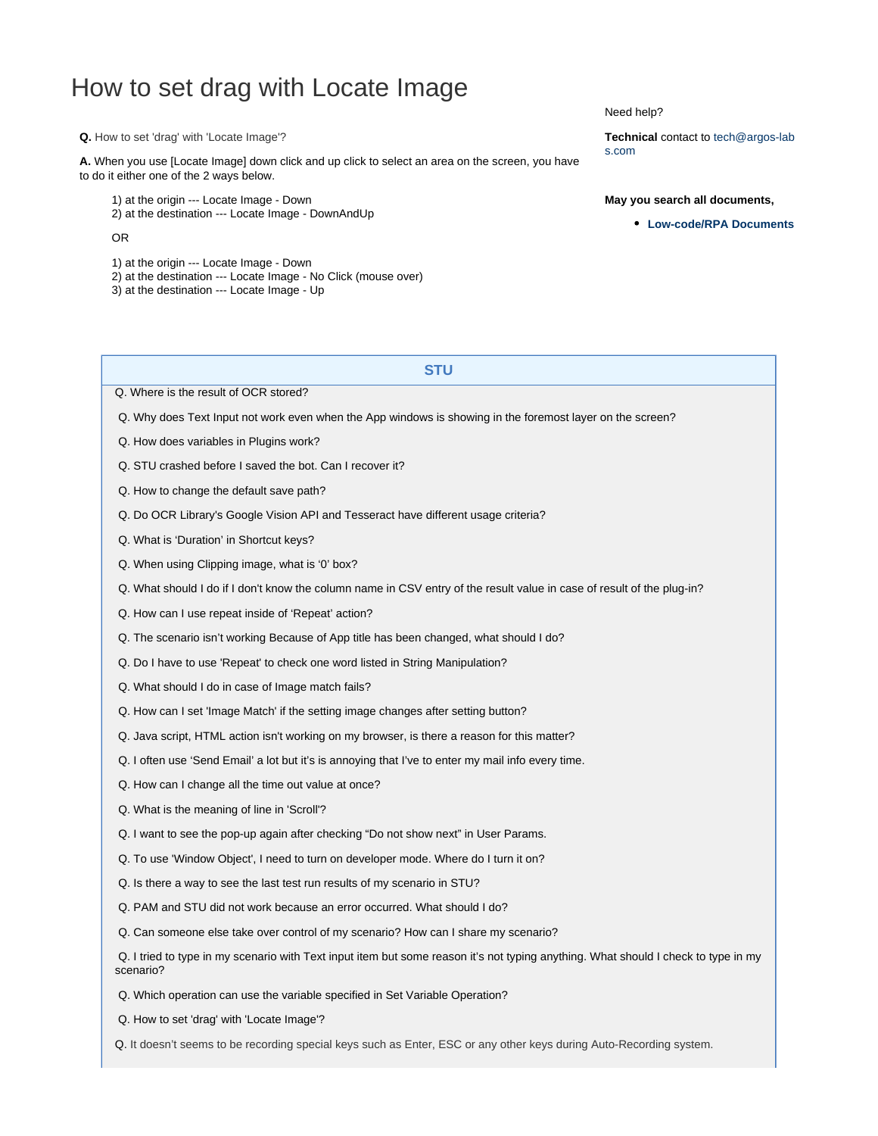## <span id="page-0-0"></span>How to set drag with Locate Image

**Q.** How to set 'drag' with 'Locate Image'?

**A.** When you use [Locate Image] down click and up click to select an area on the screen, you have to do it either one of the 2 ways below.

1) at the origin --- Locate Image - Down 2) at the destination --- Locate Image - DownAndUp

OR

- 1) at the origin --- Locate Image Down
- 2) at the destination --- Locate Image No Click (mouse over)
- 3) at the destination --- Locate Image Up

Need help?

**Technical** contact to tech@argos-lab s.com

## **May you search all documents,**

**[Low-code/RPA Documents](https://wiki.argos-labs.com/pages/viewpage.action?pageId=23920718)**

## **STU**

[Q. Where is the result of OCR stored?](https://wiki.argos-labs.com/display/RPARELNOTE/Where+is+the+result+of+OCR+stored)

[Q. Why does Text Input not work even when the App windows is showing in the foremost layer on the screen?](https://wiki.argos-labs.com/display/RPARELNOTE/Why+does+Text+Input+not+work+even+when+the+App+windows+is+showing+in+the+foremost+layer+on+the+screen)

- [Q. How does variables in Plugins work?](https://wiki.argos-labs.com/display/RPARELNOTE/How+does+variables+in+Plugins+work)
- [Q. STU crashed before I saved the bot. Can I recover it?](https://wiki.argos-labs.com/display/RPARELNOTE/STU+crashed+before+I+saved+the+bot)
- [Q. How to change the default save path?](https://wiki.argos-labs.com/display/RPARELNOTE/How+to+change+the+default+save+path)
- [Q. Do OCR Library's Google Vision API and Tesseract have different usage criteria?](https://wiki.argos-labs.com/display/RPARELNOTE/Do+OCR+Library%27s+Google+Vision+API+and+Tesseract+have+different+usage+criteria)
- [Q. What is 'Duration' in Shortcut keys?](https://wiki.argos-labs.com/display/RPARELNOTE/What+is+Duration+in+Shortcut+keys)
- [Q. When using Clipping image, what is '0' box?](https://wiki.argos-labs.com/display/RPARELNOTE/When+using+Clipping+image+what+is+0+box)
- [Q. What should I do if I don't know the column name in CSV entry of the result value in case of result of the plug-in?](https://wiki.argos-labs.com/display/RPARELNOTE/What+should+I+do+if+I+don%27t+know+the+column+name+in+CSV+entry+of+the+result+value+in+case+of+result+of+the+plug-in)
- [Q. How can I use repeat inside of 'Repeat' action?](https://wiki.argos-labs.com/display/RPARELNOTE/How+can+I+use+repeat+inside+of+Repeat+action)
- [Q. The scenario isn't working Because of App title has been changed, what should I do?](https://wiki.argos-labs.com/display/RPARELNOTE/App+title+has+been+changed+what+should+I+do)
- [Q. Do I have to use 'Repeat' to check one word listed in String Manipulation?](https://wiki.argos-labs.com/display/RPARELNOTE/Do+I+have+to+use+%27Repeat%27+to+check+one+word+listed+in+String+Manipulation)
- [Q. What should I do in case of Image match fails?](https://wiki.argos-labs.com/display/RPARELNOTE/What+should+I+do+in+case+of+Image+match+fails)
- [Q. How can I set 'Image Match' if the setting image changes after setting button?](https://wiki.argos-labs.com/display/RPARELNOTE/How+can+I+set+Image+Match+if+the+setting+image+changes+after+setting+button)
- [Q. Java script, HTML action isn't working on my browser, is there a reason for this matter?](https://wiki.argos-labs.com/display/RPARELNOTE/Java+script%2C+HTML+action+isn%27t+working+on+my+browser%2C+is+there+a+reason+for+this+matter)
- [Q. I often use 'Send Email' a lot but it's is annoying that I've to enter my mail info every time.](https://wiki.argos-labs.com/display/RPARELNOTE/I+often+use+Send+Email+but+then+I+have+to+enter+my+SMTP+settings+every+time)
- [Q. How can I change all the time out value at once?](https://wiki.argos-labs.com/display/RPARELNOTE/How+can+I+change+all+the+time+out+value+at+once)
- [Q. What is the meaning of line in 'Scroll'?](https://wiki.argos-labs.com/display/RPARELNOTE/What+is+the+meaning+of+line+in+Scroll)
- [Q. I want to see the pop-up again after checking "Do not show next" in User Params.](https://wiki.argos-labs.com/display/RPARELNOTE/I+want+to+see+the+pop-up+again+after+checking+Do+not+show+next+in+User+Params)
- [Q. To use 'Window Object', I need to turn on developer mode. Where do I turn it on?](https://wiki.argos-labs.com/display/RPARELNOTE/To+use+%27Window+Object%27+you+need+to+turn+on+developer+mode)
- [Q. Is there a way to see the last test run results of my scenario in STU?](https://wiki.argos-labs.com/display/RPARELNOTE/Is+there+a+way+to+see+the+last+test+run+results+of+my+scenario+in+STU)
- [Q. PAM and STU did not work because an error occurred. What should I do?](https://wiki.argos-labs.com/display/RPARELNOTE/PAM+and+STU+are+having+problems+and+not+working+properly)
- [Q. Can someone else take over control of my scenario? How can I share my scenario?](https://wiki.argos-labs.com/display/RPARELNOTE/Can+someone+else+take+over+development+and+maintenance+of+my+scenario)
- [Q. I tried to type in my scenario with Text input item but some reason it's not typing anything. What should I check to type in my](https://wiki.argos-labs.com/pages/viewpage.action?pageId=3637542) [scenario?](https://wiki.argos-labs.com/pages/viewpage.action?pageId=3637542)
- [Q. Which operation can use the variable specified in Set Variable Operation?](https://wiki.argos-labs.com/display/RPARELNOTE/Want+to+learn+more+about+variables+and+usage+sample+of+Set+Variable+operation)
- [Q. How to set 'drag' with 'Locate Image'?](#page-0-0)
- [Q. It doesn't seems to be recording special keys such as Enter, ESC or any other keys during Auto-Recording system.](https://wiki.argos-labs.com/pages/viewpage.action?pageId=3637551)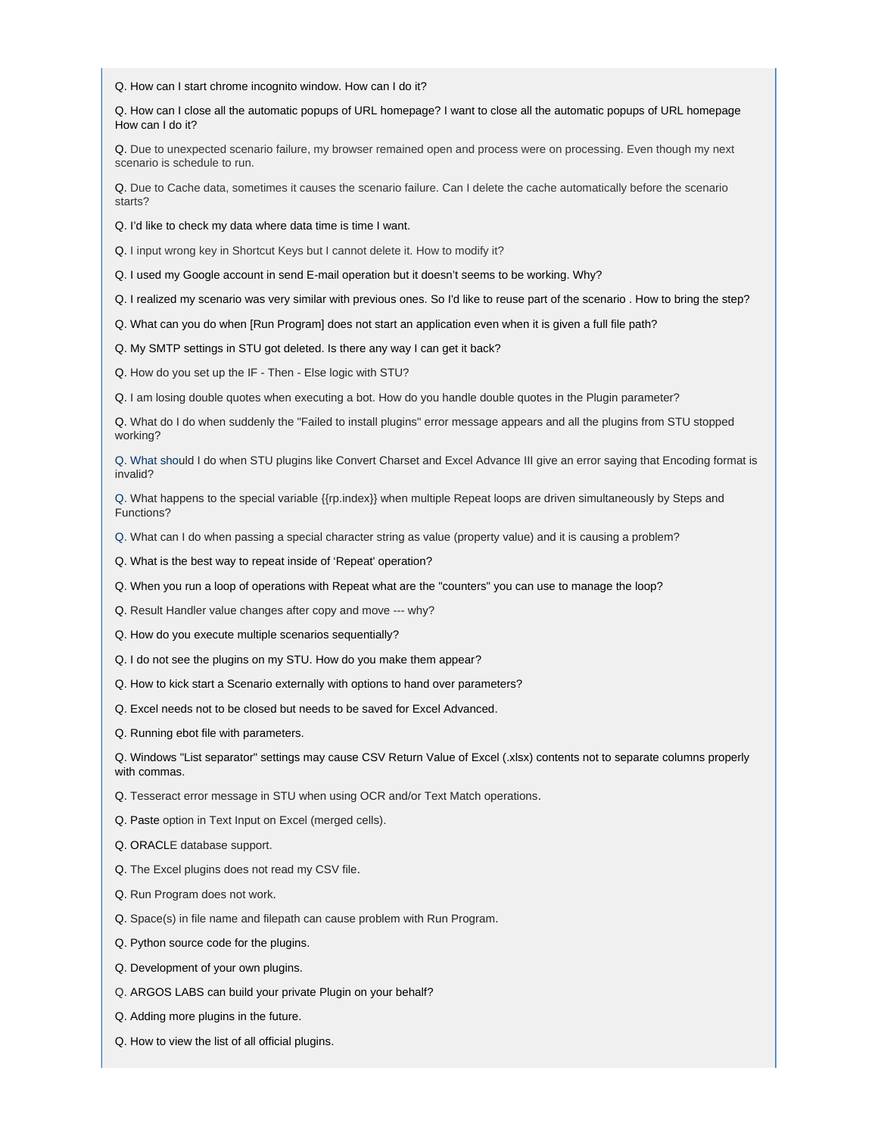[Q. How can I start chrome incognito window. How can I do it?](https://wiki.argos-labs.com/display/RPARELNOTE/How+can+I+start+chrome+incognito+window)

[Q. How can I close all the automatic popups of URL homepage? I want to close all the automatic popups of URL homepage](https://wiki.argos-labs.com/display/RPARELNOTE/How+can+I+close+all+the+automatic+popups+of+URL+homepage) [How can I do it?](https://wiki.argos-labs.com/display/RPARELNOTE/How+can+I+close+all+the+automatic+popups+of+URL+homepage)

[Q. Due to unexpected scenario failure, my browser remained open and process were on processing. Even though my next](https://wiki.argos-labs.com/display/RPARELNOTE/Due+to+unexpected+scenario+failure+my+browser+remained+open+and+process+were+on+processing) [scenario is schedule to run.](https://wiki.argos-labs.com/display/RPARELNOTE/Due+to+unexpected+scenario+failure+my+browser+remained+open+and+process+were+on+processing)

[Q. Due to Cache data, sometimes it causes the scenario failure. Can I delete the cache automatically before the scenario](https://wiki.argos-labs.com/display/RPARELNOTE/Due+to+cache+data+sometimes+it+causes+the+scenario+failure) [starts?](https://wiki.argos-labs.com/display/RPARELNOTE/Due+to+cache+data+sometimes+it+causes+the+scenario+failure) 

[Q. I'd like to check my data where data time is time I want.](https://wiki.argos-labs.com/display/RPARELNOTE/I+would+like+to+check+my+data+where+data+time+is+time+I+want)

[Q. I input wrong key in Shortcut Keys but I cannot delete it. How to modify it?](https://wiki.argos-labs.com/display/RPARELNOTE/I+input+wrong+key+in+Shortcut+Keys+but+I+cannot+delete+it)

[Q. I used my Google account in send E-mail operation but it doesn't seems to be working. Why?](https://wiki.argos-labs.com/pages/viewpage.action?pageId=3637556)

[Q. I realized my scenario was very similar with previous ones. So I'd like to reuse part of the scenario . How to bring the step?](https://wiki.argos-labs.com/display/RPARELNOTE/I+realized+my+scenario+was+very+similar+with+previous+ones)

[Q. What can you do when \[Run Program\] does not start an application even when it is given a full file path?](https://wiki.argos-labs.com/display/RPARELNOTE/What+can+you+do+when+Run+Program+does+not+start+an+application+even+when+it+is+given+a+full+file+path)

[Q. My SMTP settings in STU got deleted. Is there any way I can get it back?](https://wiki.argos-labs.com/display/RPARELNOTE/My+SMTP+settings+in+STU+got+deleted+Is+there+any+way+I+can+get+it+back)

[Q. How do you set up the IF - Then - Else logic with STU?](https://wiki.argos-labs.com/display/RPARELNOTE/How+do+you+set+up+the+IF+Then+Else+logic+with+STU)

[Q. I am losing double quotes when executing a bot. How do you handle double quotes in the Plugin parameter?](https://wiki.argos-labs.com/display/RPARELNOTE/I+am+losing+double+quotes+when+executing+a+bot.+How+do+you+handle+double+quotes+in+the+Plugin+parameter)

[Q. What do I do when suddenly the "Failed to install plugins" error message appears and all the plugins from STU stopped](https://wiki.argos-labs.com/display/RPARELNOTE/What+do+I+do+when+suddenly+the+Failed+to+install+plugins+error+message+appears+and+all+the+plugins+from+STU+stopped+working) [working?](https://wiki.argos-labs.com/display/RPARELNOTE/What+do+I+do+when+suddenly+the+Failed+to+install+plugins+error+message+appears+and+all+the+plugins+from+STU+stopped+working)

[Q. What should I do when STU plugins like Convert Charset and Excel Advance III give an error saying that Encoding format is](https://wiki.argos-labs.com/display/RPARELNOTE/What+should+I+do+when+STU+plugins+like+Convert+Charset+and+Excel+Advance+III+give+an+error+saying+that+Encoding+format+is+invalid) [invalid?](https://wiki.argos-labs.com/display/RPARELNOTE/What+should+I+do+when+STU+plugins+like+Convert+Charset+and+Excel+Advance+III+give+an+error+saying+that+Encoding+format+is+invalid)

[Q. What happens to the special variable {{rp.index}} when multiple Repeat loops are driven simultaneously by Steps and](https://wiki.argos-labs.com/display/RPARELNOTE/What+happens+to+the+special+variable+rpindex+when+multiple+Repeat+loops+are+driven+simultaneously+by+Steps+and+Functions) [Functions?](https://wiki.argos-labs.com/display/RPARELNOTE/What+happens+to+the+special+variable+rpindex+when+multiple+Repeat+loops+are+driven+simultaneously+by+Steps+and+Functions)

[Q. What can I do when passing a special character string as value \(property value\) and it is causing a problem?](https://wiki.argos-labs.com/display/RPARELNOTE/What+can+I+do+when+passing+a+special+character+string+as+value+property+value+and+it+is+causing+a+problem)

[Q. What is the best way to repeat inside of 'Repeat' operation?](https://wiki.argos-labs.com/display/RPARELNOTE/What+is+the+best+way+to+repeat+inside+of+Repeat+operation)

[Q. When you run a loop of operations with Repeat what are the "counters" you can use to manage the loop?](https://wiki.argos-labs.com/display/RPARELNOTE/When+you+run+a+loop+of+operations+with+Repeat+what+are+the+counters+you+can+use+to+manage+the+loop)

[Q. Result Handler value changes after copy and move --- why?](https://wiki.argos-labs.com/display/RPARELNOTE/Result+Handler+value+changes+after+copy+and+move+why)

Q. [How do you execute multiple scenarios sequentially?](https://wiki.argos-labs.com/display/RPARELNOTE/How+do+you+execute+multiple+scenarios+sequentially)

Q. [I do not see the plugins on my STU. How do you make them appear](https://wiki.argos-labs.com/display/RPARELNOTE/I+do+not+see+the+plugins+on+my+STU+How+do+you+make+them+appear)?

Q. [How to kick start a Scenario externally with options to hand over parameters](https://wiki.argos-labs.com/display/RPARELNOTE/How+to+kick+start+a+Scenario+externally+with+options+to+hand+over+parameters)?

Q. [Excel needs not to be closed but needs to be saved for Excel Advanced](https://wiki.argos-labs.com/display/RPARELNOTE/Excel+needs+not+to+be+closed+but+needs+to+be+saved+for+Excel+Advanced).

Q. [Running ebot file with parameters](https://wiki.argos-labs.com/display/RPARELNOTE/Running+ebot+file+with+parameters).

[Q. Windows "List separator" settings may cause CSV Return Value of Excel \(.xlsx\) contents not to separate columns properly](https://wiki.argos-labs.com/display/RPARELNOTE/Windows+List+separator+settings+may+cause+CSV+Return+Value+of+Excel+xlsx+contents+not+to+separate+columns+properly+with+commas) [with commas.](https://wiki.argos-labs.com/display/RPARELNOTE/Windows+List+separator+settings+may+cause+CSV+Return+Value+of+Excel+xlsx+contents+not+to+separate+columns+properly+with+commas)

[Q. Tesseract error message in STU when using OCR and/or Text Match operations](https://wiki.argos-labs.com/display/RPARELNOTE/Tesseract+error+message+in+STU+when+using+OCR+and+or+Text+Match+operations).

[Q. Paste option in Text Input on Excel \(merged cells\)](https://wiki.argos-labs.com/display/RPARELNOTE/Paste+option+in+Text+Input+on+Excel+merged+cells).

[Q. ORACLE database support.](https://wiki.argos-labs.com/display/RPARELNOTE/ORACLE+database+support)

[Q. The Excel plugins does not read my CSV file](https://wiki.argos-labs.com/display/RPARELNOTE/The+Excel+plugins+does+not+read+my+CSV+file).

[Q. Run Program does not work](https://wiki.argos-labs.com/display/RPARELNOTE/Run+Program+does+not+work).

[Q. Space\(s\) in file name and filepath can cause problem with Run Program](https://wiki.argos-labs.com/display/RPARELNOTE/Spaces+in+file+name+and+filepath+can+cause+problem+with+Run+Program).

[Q. Python source code for the plugins.](https://wiki.argos-labs.com/display/RPARELNOTE/Python+source+code+for+the+plugins)

[Q. Development of your own plugins](https://wiki.argos-labs.com/display/RPARELNOTE/Development+of+your+own+plugins).

[Q. ARGOS LABS can build your private Plugin on your behalf](https://wiki.argos-labs.com/display/RPARELNOTE/ARGOS+LABS+can+build+your+private+Plugin+on+your+behalf)?

[Q. Adding more plugins in the future](https://wiki.argos-labs.com/display/RPARELNOTE/Adding+more+plugins+in+the+future).

[Q. How to view the list of all official plugins.](https://wiki.argos-labs.com/display/RPARELNOTE/How+to+view+the+list+of+all+official+plugins)